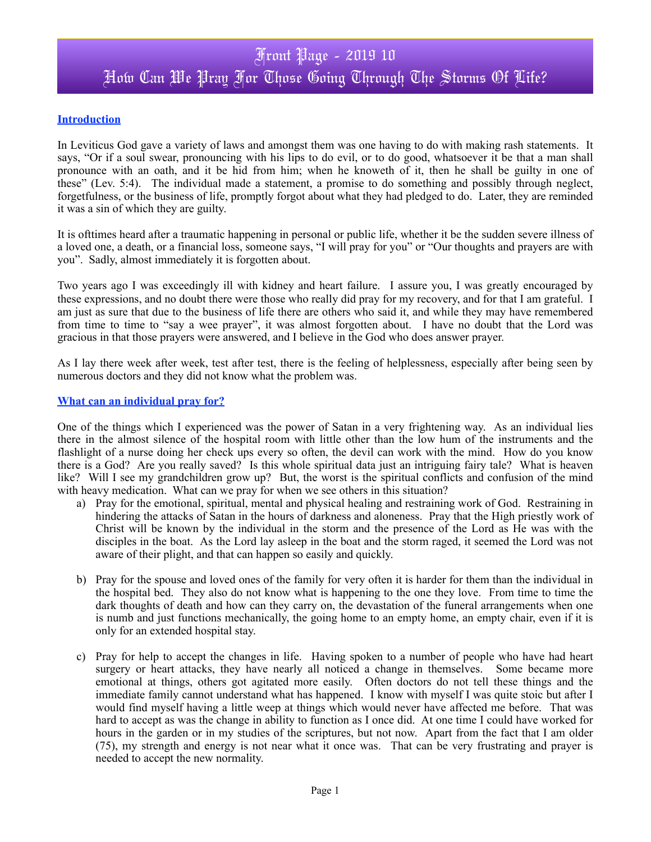## **Introduction**

In Leviticus God gave a variety of laws and amongst them was one having to do with making rash statements. It says, "Or if a soul swear, pronouncing with his lips to do evil, or to do good, whatsoever it be that a man shall pronounce with an oath, and it be hid from him; when he knoweth of it, then he shall be guilty in one of these" (Lev. 5:4). The individual made a statement, a promise to do something and possibly through neglect, forgetfulness, or the business of life, promptly forgot about what they had pledged to do. Later, they are reminded it was a sin of which they are guilty.

It is ofttimes heard after a traumatic happening in personal or public life, whether it be the sudden severe illness of a loved one, a death, or a financial loss, someone says, "I will pray for you" or "Our thoughts and prayers are with you". Sadly, almost immediately it is forgotten about.

Two years ago I was exceedingly ill with kidney and heart failure. I assure you, I was greatly encouraged by these expressions, and no doubt there were those who really did pray for my recovery, and for that I am grateful. I am just as sure that due to the business of life there are others who said it, and while they may have remembered from time to time to "say a wee prayer", it was almost forgotten about. I have no doubt that the Lord was gracious in that those prayers were answered, and I believe in the God who does answer prayer.

As I lay there week after week, test after test, there is the feeling of helplessness, especially after being seen by numerous doctors and they did not know what the problem was.

## **What can an individual pray for?**

One of the things which I experienced was the power of Satan in a very frightening way. As an individual lies there in the almost silence of the hospital room with little other than the low hum of the instruments and the flashlight of a nurse doing her check ups every so often, the devil can work with the mind. How do you know there is a God? Are you really saved? Is this whole spiritual data just an intriguing fairy tale? What is heaven like? Will I see my grandchildren grow up? But, the worst is the spiritual conflicts and confusion of the mind with heavy medication. What can we pray for when we see others in this situation?

- a) Pray for the emotional, spiritual, mental and physical healing and restraining work of God. Restraining in hindering the attacks of Satan in the hours of darkness and aloneness. Pray that the High priestly work of Christ will be known by the individual in the storm and the presence of the Lord as He was with the disciples in the boat. As the Lord lay asleep in the boat and the storm raged, it seemed the Lord was not aware of their plight, and that can happen so easily and quickly.
- b) Pray for the spouse and loved ones of the family for very often it is harder for them than the individual in the hospital bed. They also do not know what is happening to the one they love. From time to time the dark thoughts of death and how can they carry on, the devastation of the funeral arrangements when one is numb and just functions mechanically, the going home to an empty home, an empty chair, even if it is only for an extended hospital stay.
- c) Pray for help to accept the changes in life. Having spoken to a number of people who have had heart surgery or heart attacks, they have nearly all noticed a change in themselves. Some became more emotional at things, others got agitated more easily. Often doctors do not tell these things and the immediate family cannot understand what has happened. I know with myself I was quite stoic but after I would find myself having a little weep at things which would never have affected me before. That was hard to accept as was the change in ability to function as I once did. At one time I could have worked for hours in the garden or in my studies of the scriptures, but not now. Apart from the fact that I am older (75), my strength and energy is not near what it once was. That can be very frustrating and prayer is needed to accept the new normality.